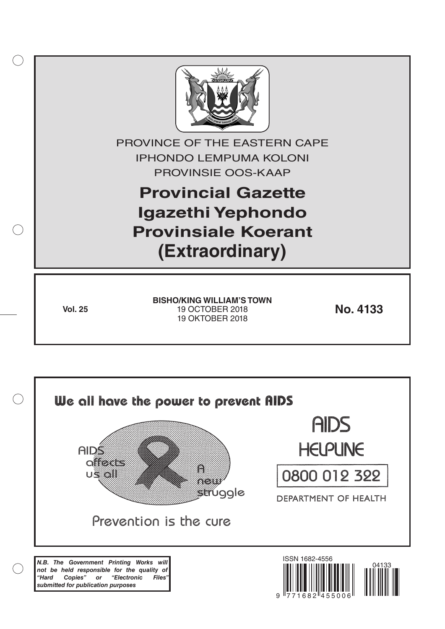

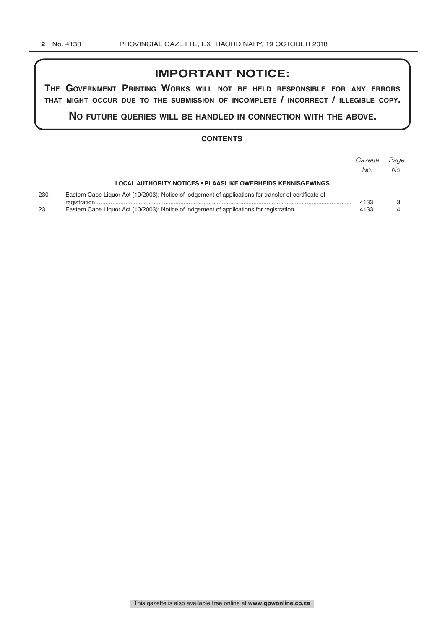# **IMPORTANT NOTICE:**

**The GovernmenT PrinTinG Works Will noT be held resPonsible for any errors ThaT miGhT occur due To The submission of incomPleTe / incorrecT / illeGible coPy.**

**no fuTure queries Will be handled in connecTion WiTh The above.**

# **CONTENTS**

|     |                                                                                                       | Gazette<br>No. | Page<br>No. |
|-----|-------------------------------------------------------------------------------------------------------|----------------|-------------|
|     | <b>LOCAL AUTHORITY NOTICES • PLAASLIKE OWERHEIDS KENNISGEWINGS</b>                                    |                |             |
| 230 | Eastern Cape Liquor Act (10/2003): Notice of lodgement of applications for transfer of certificate of |                |             |
| 231 |                                                                                                       | 4133           |             |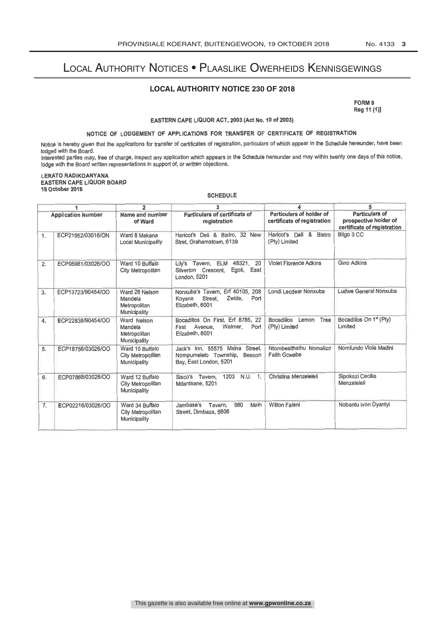# Local Authority Notices • Plaaslike Owerheids Kennisgewings

## **LOCAL AUTHORITY NOTICE 230 OF 2018**

 $P^{0.9}$  44.(4)]  $R_{\text{eq}}$  11 (1)<sub>1</sub>

#### EASTERN CAPE LIQUOR ACT, 2003 (Act No. 10 of 2003)

## NOTICE OF LODGEMENT OF APPLICATIONS FOR TRANSFER OF CERTIFICATE OF REGISTRATION

Notice is hereby given that the applications for transfer of certificates of registration, particulars of which appear in the Schedule hereunder, have been lodged with the Board.

Interested parties may, free of charge, inspect any application which appears in the Schedule hereunder and may within twenty one days of this notice, lodge with the Board written representations in support of, or written objections.

#### LERATO RADIKOANYANA EASTERN CAPE LIQUOR BOARD 18 October 2018

### SCHEDULE

|                           |                   | $\overline{2}$                                            | 3                                                                                            | 4                                                       | 5                                                                             |
|---------------------------|-------------------|-----------------------------------------------------------|----------------------------------------------------------------------------------------------|---------------------------------------------------------|-------------------------------------------------------------------------------|
| <b>Application Number</b> |                   | Name and number<br>of Ward                                | Particulars of certificate of<br>registration                                                | Particulars of holder of<br>certificate of registration | <b>Particulars of</b><br>prospective holder of<br>certificate of registration |
| 1.                        | ECP21952/03016/ON | Ward 8 Makana<br><b>Local Municipality</b>                | Haricot's Deli & Bistro, 32 New<br>Stret, Grahamstown, 6139                                  | Haricot's Deli &<br><b>Bistro</b><br>(Pty) Limited      | Bitgo 3 CC                                                                    |
| 2.                        | ECP05981/03026/OO | Ward 10 Buffalo<br>City Metropolitan                      | Lily's Tavern, ELM<br>48321, 20<br>Silverton Crescent.<br>Egoli, East<br>London, 5201        | <b>Violet Florence Adkins</b>                           | <b>Gino Adkins</b>                                                            |
| 3.                        | ECP13723/90454/OO | Ward 28 Nelson<br>Mandela<br>Metropolitan<br>Municipality | Nonxuba's Tavern, Erf 40105, 208<br>Street,<br>Zwide,<br>Port<br>Kovana<br>Elizabeth, 6001   | Londi Lecdear Nonxuba                                   | Ludwe General Nonxuba                                                         |
| 4.                        | ECP22838/90454/OO | Ward Nelson<br>Mandela<br>Metropolitan<br>Municipality    | Bocadillos On First, Erf 8785, 22<br>Walmer,<br>Port<br>First Avenue,<br>Elizabeth, 6001     | <b>Bocadillos</b><br>Tree<br>Lemon<br>(Pty) Limited     | Bocadillos On 1 <sup>st</sup> (Pty)<br>Limited                                |
| 5.                        | ECP18756/03026/OO | Ward 15 Buffalo<br>City Metropolitan<br>Municipality      | Jack's Inn, 55575 Mxina Street,<br>Nompumelelo Township,<br>Beacon<br>Bay, East London, 5201 | Ntombesithathu Nomalizo<br><b>Faith Gcwabe</b>          | Nomfundo Viola Madini                                                         |
| 6.                        | ECP07868/03026/OO | Ward 12 Buffalo<br>City Metropolitan<br>Municipality      | Sisco's Tavern, 1203 N.U. 1,<br>Mdantsane, 5201                                              | Christina Menzeleleli                                   | Sipokazi Cecilia<br>Menzeleleli                                               |
| 7.                        | ECP02216/03026/OO | Ward 34 Buffalo<br>City Metropolitan<br>Municipality      | Main<br>980<br>Jambase's<br>Tavern.<br>Street, Dimbaza, 5606                                 | <b>Wilton Faleni</b>                                    | Nobantu Ivon Dyantyi                                                          |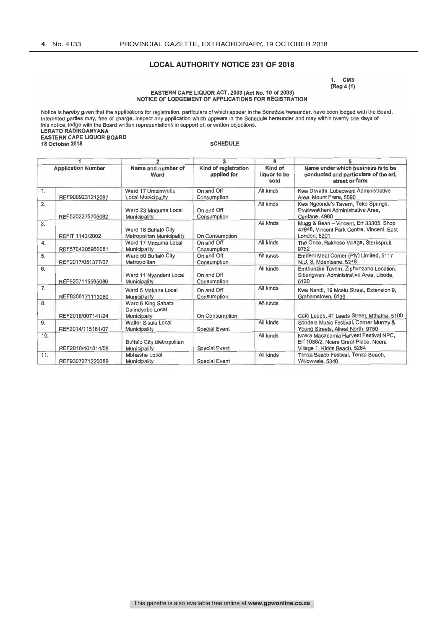# **LOCAL AUTHORITY NOTICE 231 OF 2018**

1. CM3  $[log\theta + (1)$ 

### EASTERN CAPE LIQUOR ACT, 2003 (Act No. 10 of 2003) NOTICE OF LODGEMENT OF APPLICATIONS FOR REGISTRATION

Notice is nereby given that the applications for registration, particulars of which appear in the Schedule hereunder, have been lodged with the Board.<br>Interested parties may, free of charge, inspect any application which a LERATO RADIKOANYANA EASTERN CAPE LIQUOR BOARD 18 October 2018 SCHEDULE

| <b>Application Number</b> |                   | $\overline{2}$                                           | 3                                   | 4<br>Kind of<br>liguor to be<br>sold | Name under which business is to be<br>conducted and particulars of the erf,<br>street or farm                 |  |
|---------------------------|-------------------|----------------------------------------------------------|-------------------------------------|--------------------------------------|---------------------------------------------------------------------------------------------------------------|--|
|                           |                   | Name and number of<br>Ward                               | Kind of registration<br>applied for |                                      |                                                                                                               |  |
| 1.                        | REF9009231212087  | Ward 17 Umzimvubu<br><b>Local Municipality</b>           | On and Off<br>Consumption           | All kinds                            | Kwa Dlwathi, Lubacweni Administrative<br>Area, Mount Frere, 5090                                              |  |
| 2.                        | REF5202275705082  | Ward 23 Mnquma Local<br>Municipality                     | On and Off<br>Consumption           | All kinds                            | Kwa Ngconde's Tavern, Teko Springs,<br>Emkhwakheni Administrative Area,<br>Centane, 4980                      |  |
| 3.                        | REFIT 1143/2002   | Ward 18 Buffalo City<br><b>Metropolitan Municipality</b> | On Consumption                      | All kinds                            | Mugg & Bean - Vincent, Erf 33305, Shop<br>47848, Vincent Park Centre, Vincent, East<br>London, 5201           |  |
| 4.                        | REF5704205956081  | Ward 17 Mnguma Local<br>Municipality                     | On and Off<br>Consumption           | All kinds                            | The Once, Rakhoso Village, Sterkspruit,<br>9762                                                               |  |
| 5.                        | REF2017/051377/07 | Ward 50 Buffalo City<br>Metropolitan                     | On and Off<br>Consumption           | All kinds                            | Emdeni Meat Comer (Pty) Limited, 5117<br>N.U. 8, Mdantsane, 5219                                              |  |
| 6.                        | REF9207115595086  | Ward 11 Nyandeni Local<br>Municipality                   | On and Off<br>Consumption           | All kinds                            | Emthunzini Tavem, Ziphunzana Location,<br>Sibangweni Administrative Area, Libode,<br>5120                     |  |
| 7.                        | REF8306171113080  | Ward 5 Makana Local<br>Municipality                      | On and Off<br>Consumption           | All kinds                            | Kwa Nandi, 19 Mcelu Street, Extension 9,<br>Grahamstown, 6139                                                 |  |
| 8.                        | REF2018/007141/24 | Ward 6 King Sabata<br>Dalindyebo Local<br>Municipalty    | On Consumption                      | All kinds                            | Café Leeds, 41 Leeds Street, Mthatha, 5100                                                                    |  |
| 9.                        | REF2014/115161/07 | <b>Walter Sisulu Local</b><br>Municipality               | <b>Special Event</b>                | All kinds                            | Sondela Music Festival, Corner Murray &<br>Young Streets, Aliwal North, 9750                                  |  |
| 10.                       | REF2018/401014/08 | <b>Buffalo City Metropolitan</b><br>Municipality         | <b>Special Event</b>                | All kinds                            | Ncera Macadamia Harvest Festival NPC,<br>Erf 1038/2, Ncera Great Place, Ncera<br>Village 1, Kidds Beach, 5264 |  |
| 11.                       | REF9307271220089  | Mbhashe Local<br>Municipality                            | <b>Special Event</b>                | All kinds                            | Tenza Beach Festival, Tenza Beach,<br>Willowvale, 5340                                                        |  |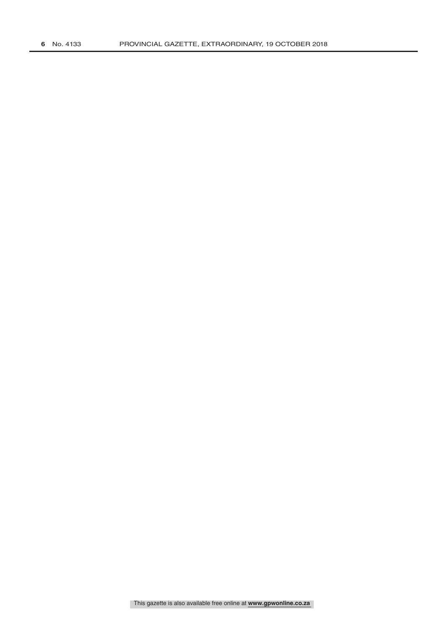This gazette is also available free online at **www.gpwonline.co.za**